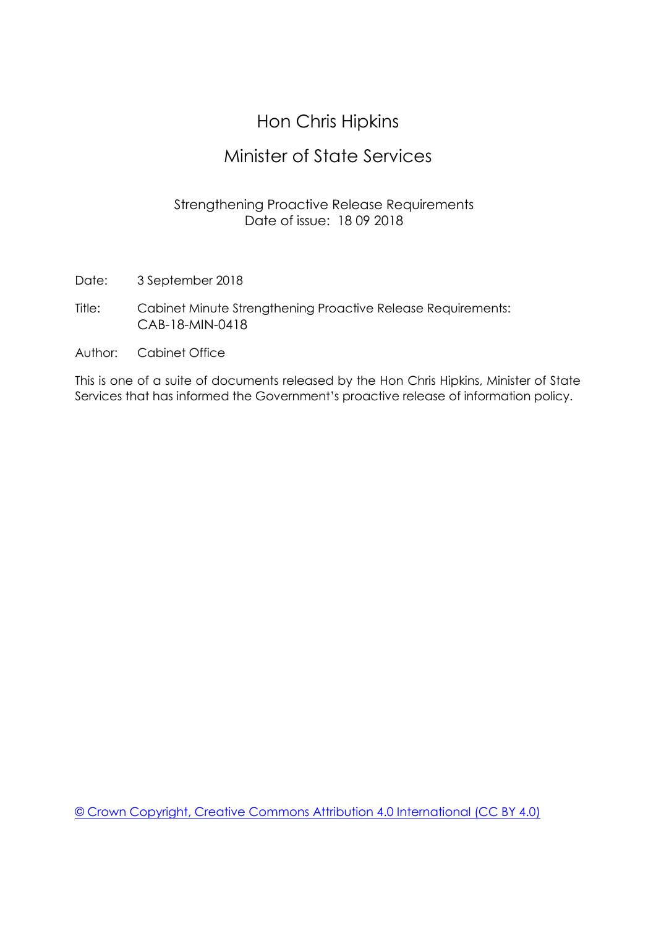### Hon Chris Hipkins

#### Minister of State Services

#### Strengthening Proactive Release Requirements Date of issue: 18 09 2018

- Date: 3 September 2018
- Title: Cabinet Minute Strengthening Proactive Release Requirements: CAB-18-MIN-0418
- Author: Cabinet Office

This is one of a suite of documents released by the Hon Chris Hipkins, Minister of State Services that has informed the Government's proactive release of information policy.

[© Crown Copyright, Creative Commons Attribution 4.0 International \(CC BY 4.0\)](https://creativecommons.org/licenses/by/4.0/)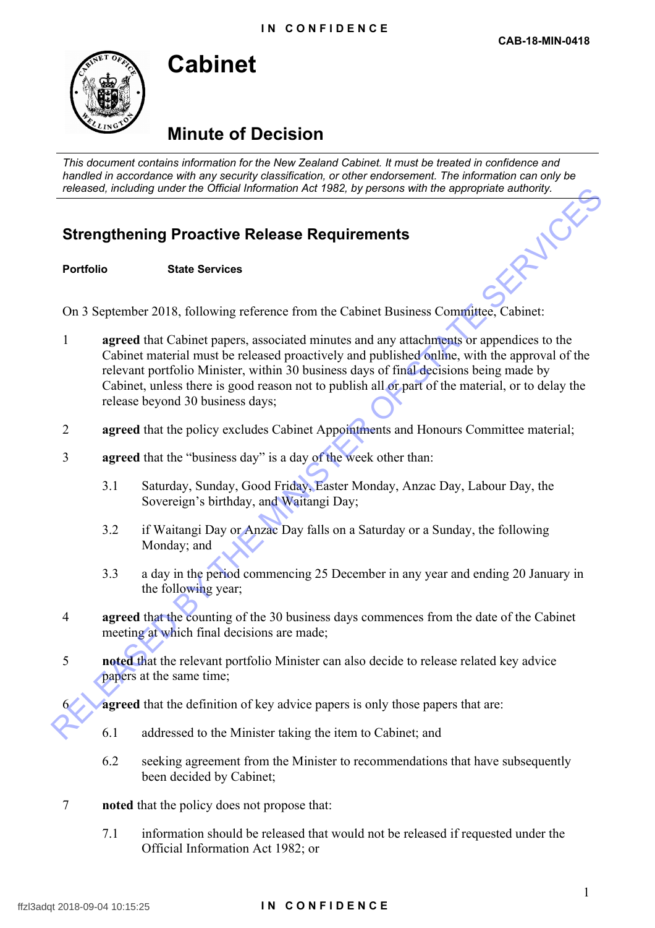

## **Cabinet**

## **Minute of Decision**

*This document contains information for the New Zealand Cabinet. It must be treated in confidence and handled in accordance with any security classification, or other endorsement. The information can only be* 

# *released, including under the Official Information Act 1982, by persons with the appropriate authority.*<br> **Strengthening Proactive Release Requirements**<br>
Portfolio State Services **Strengthening Proactive Release Requirements**

**Portfolio State Services**

On 3 September 2018, following reference from the Cabinet Business Committee, Cabinet:

- 1 **agreed** that Cabinet papers, associated minutes and any attachments or appendices to the Cabinet material must be released proactively and published online, with the approval of the relevant portfolio Minister, within 30 business days of final decisions being made by Cabinet, unless there is good reason not to publish all or part of the material, or to delay the release beyond 30 business days; Released, molumny under the Universal promotion Act 1992, by persons with the appropriate authority.<br> **Strengthenring Proactive Release Requirements**<br>
Portfolio Sidet Services<br>
On 3 September 2018, following reference from
	- 2 **agreed** that the policy excludes Cabinet Appointments and Honours Committee material;
	- 3 **agreed** that the "business day" is a day of the week other than:
		- 3.1 Saturday, Sunday, Good Friday, Easter Monday, Anzac Day, Labour Day, the Sovereign's birthday, and Waitangi Day;
		- 3.2 if Waitangi Day or Anzac Day falls on a Saturday or a Sunday, the following Monday; and
		- 3.3 a day in the period commencing 25 December in any year and ending 20 January in the following year;
	- 4 **agreed** that the counting of the 30 business days commences from the date of the Cabinet meeting at which final decisions are made;
	- 5 **noted** that the relevant portfolio Minister can also decide to release related key advice papers at the same time;

**agreed** that the definition of key advice papers is only those papers that are:

- 6.1 addressed to the Minister taking the item to Cabinet; and
- 6.2 seeking agreement from the Minister to recommendations that have subsequently been decided by Cabinet;
- 7 **noted** that the policy does not propose that:
	- 7.1 information should be released that would not be released if requested under the Official Information Act 1982; or

#### ffzl3adqt 2018-09-04 10:15:25 **I N C O N F I D E N C E**